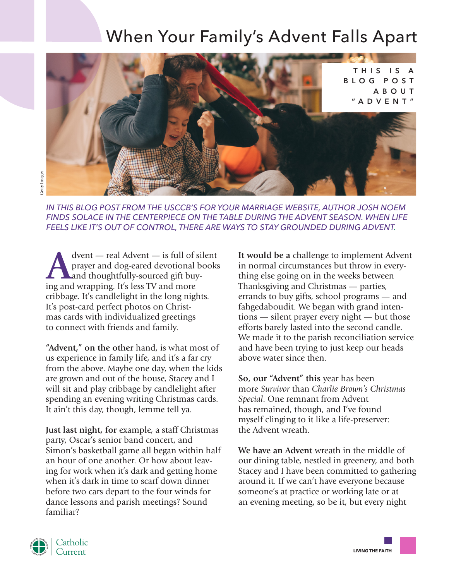## When Your Family's Advent Falls Apart



IN THIS BLOG POST FROM THE USCCB'S FOR YOUR MARRIAGE WEBSITE, AUTHOR JOSH NOEM *FINDS SOLACE IN THE CENTERPIECE ON THE TABLE DURING THE ADVENT SEASON. WHEN LIFE FEELS LIKE IT'S OUT OF CONTROL, THERE ARE WAYS TO STAY GROUNDED DURING ADVENT.*

dvent — real Advent — is full of silent<br>prayer and dog-eared devotional books<br>and thoughtfully-sourced gift buy-<br>ing and wrapping It's less TV and more prayer and dog-eared devotional books and thoughtfully-sourced gift buying and wrapping. It's less TV and more cribbage. It's candlelight in the long nights. It's post-card perfect photos on Christmas cards with individualized greetings to connect with friends and family.

**"Advent," on the other** hand, is what most of us experience in family life, and it's a far cry from the above. Maybe one day, when the kids are grown and out of the house, Stacey and I will sit and play cribbage by candlelight after spending an evening writing Christmas cards. It ain't this day, though, lemme tell ya.

**Just last night, for** example, a staff Christmas party, Oscar's senior band concert, and Simon's basketball game all began within half an hour of one another. Or how about leaving for work when it's dark and getting home when it's dark in time to scarf down dinner before two cars depart to the four winds for dance lessons and parish meetings? Sound familiar?

**It would be a** challenge to implement Advent in normal circumstances but throw in everything else going on in the weeks between Thanksgiving and Christmas — parties, errands to buy gifts, school programs — and fahgedaboudit. We began with grand intentions — silent prayer every night — but those efforts barely lasted into the second candle. We made it to the parish reconciliation service and have been trying to just keep our heads above water since then.

**So, our "Advent" this** year has been more *Survivor* than *Charlie Brown's Christmas Special*. One remnant from Advent has remained, though, and I've found myself clinging to it like a life-preserver: the Advent wreath.

**We have an Advent** wreath in the middle of our dining table, nestled in greenery, and both Stacey and I have been committed to gathering around it. If we can't have everyone because someone's at practice or working late or at an evening meeting, so be it, but every night